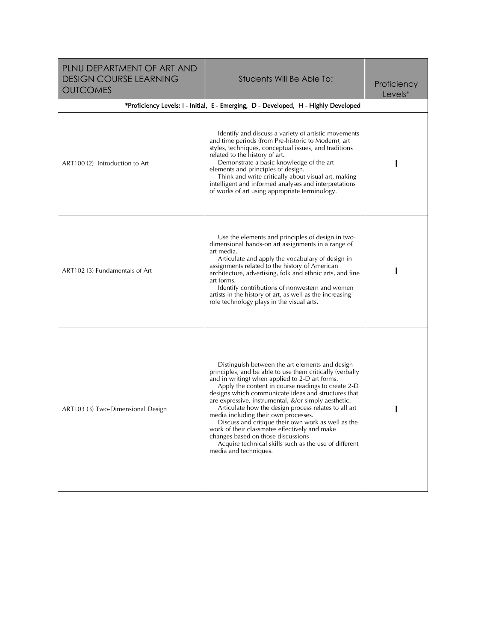| PLNU DEPARTMENT OF ART AND<br><b>DESIGN COURSE LEARNING</b><br><b>OUTCOMES</b> | Students Will Be Able To:                                                                                                                                                                                                                                                                                                                                                                                                                                                                                                                                                                                                                                         | Proficiency<br>Levels* |
|--------------------------------------------------------------------------------|-------------------------------------------------------------------------------------------------------------------------------------------------------------------------------------------------------------------------------------------------------------------------------------------------------------------------------------------------------------------------------------------------------------------------------------------------------------------------------------------------------------------------------------------------------------------------------------------------------------------------------------------------------------------|------------------------|
|                                                                                | *Proficiency Levels: I - Initial, E - Emerging, D - Developed, H - Highly Developed                                                                                                                                                                                                                                                                                                                                                                                                                                                                                                                                                                               |                        |
| ART100 (2) Introduction to Art                                                 | Identify and discuss a variety of artistic movements<br>and time periods (from Pre-historic to Modern), art<br>styles, techniques, conceptual issues, and traditions<br>related to the history of art.<br>Demonstrate a basic knowledge of the art<br>elements and principles of design.<br>Think and write critically about visual art, making<br>intelligent and informed analyses and interpretations<br>of works of art using appropriate terminology.                                                                                                                                                                                                        |                        |
| ART102 (3) Fundamentals of Art                                                 | Use the elements and principles of design in two-<br>dimensional hands-on art assignments in a range of<br>art media.<br>Articulate and apply the vocabulary of design in<br>assignments related to the history of American<br>architecture, advertising, folk and ethnic arts, and fine<br>art forms.<br>Identify contributions of nonwestern and women<br>artists in the history of art, as well as the increasing<br>role technology plays in the visual arts.                                                                                                                                                                                                 | I                      |
| ART103 (3) Two-Dimensional Design                                              | Distinguish between the art elements and design<br>principles, and be able to use them critically (verbally<br>and in writing) when applied to 2-D art forms.<br>Apply the content in course readings to create 2-D<br>designs which communicate ideas and structures that<br>are expressive, instrumental, &/or simply aesthetic.<br>Articulate how the design process relates to all art<br>media including their own processes.<br>Discuss and critique their own work as well as the<br>work of their classmates effectively and make<br>changes based on those discussions<br>Acquire technical skills such as the use of different<br>media and techniques. |                        |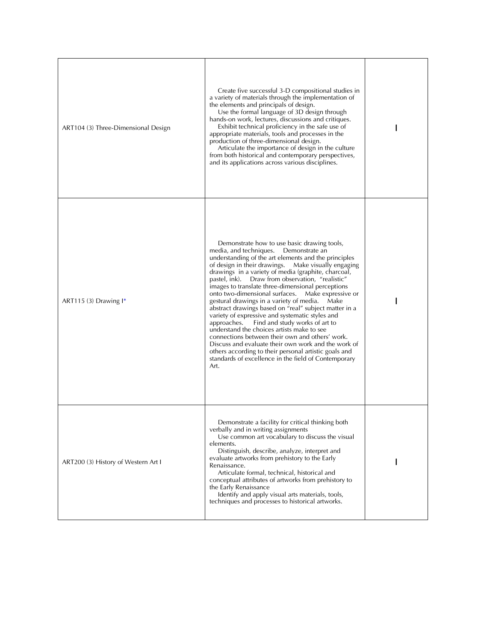| ART104 (3) Three-Dimensional Design | Create five successful 3-D compositional studies in<br>a variety of materials through the implementation of<br>the elements and principals of design.<br>Use the formal language of 3D design through<br>hands-on work, lectures, discussions and critiques.<br>Exhibit technical proficiency in the safe use of<br>appropriate materials, tools and processes in the<br>production of three-dimensional design.<br>Articulate the importance of design in the culture<br>from both historical and contemporary perspectives,<br>and its applications across various disciplines.                                                                                                                                                                                                                                                                                                                                                |  |
|-------------------------------------|----------------------------------------------------------------------------------------------------------------------------------------------------------------------------------------------------------------------------------------------------------------------------------------------------------------------------------------------------------------------------------------------------------------------------------------------------------------------------------------------------------------------------------------------------------------------------------------------------------------------------------------------------------------------------------------------------------------------------------------------------------------------------------------------------------------------------------------------------------------------------------------------------------------------------------|--|
| ART115 (3) Drawing $I^*$            | Demonstrate how to use basic drawing tools,<br>media, and techniques.<br>Demonstrate an<br>understanding of the art elements and the principles<br>of design in their drawings.<br>Make visually engaging<br>drawings in a variety of media (graphite, charcoal,<br>pastel, ink). Draw from observation, "realistic"<br>images to translate three-dimensional perceptions<br>onto two-dimensional surfaces. Make expressive or<br>Make<br>gestural drawings in a variety of media.<br>abstract drawings based on "real" subject matter in a<br>variety of expressive and systematic styles and<br>Find and study works of art to<br>approaches.<br>understand the choices artists make to see<br>connections between their own and others' work.<br>Discuss and evaluate their own work and the work of<br>others according to their personal artistic goals and<br>standards of excellence in the field of Contemporary<br>Art. |  |
| ART200 (3) History of Western Art I | Demonstrate a facility for critical thinking both<br>verbally and in writing assignments<br>Use common art vocabulary to discuss the visual<br>elements.<br>Distinguish, describe, analyze, interpret and<br>evaluate artworks from prehistory to the Early<br>Renaissance.<br>Articulate formal, technical, historical and<br>conceptual attributes of artworks from prehistory to<br>the Early Renaissance<br>Identify and apply visual arts materials, tools,<br>techniques and processes to historical artworks.                                                                                                                                                                                                                                                                                                                                                                                                             |  |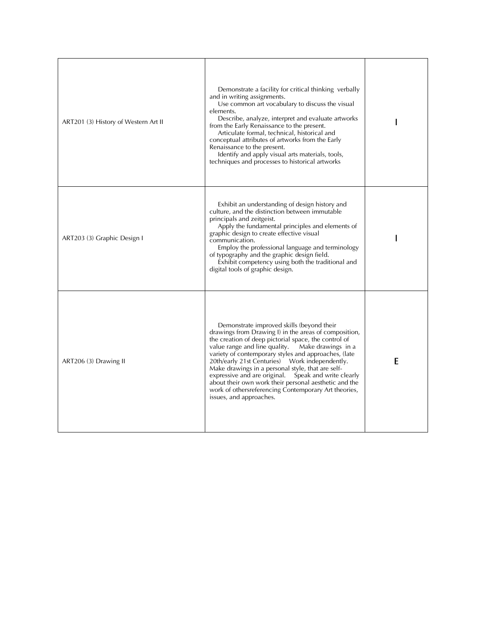| ART201 (3) History of Western Art II | Demonstrate a facility for critical thinking verbally<br>and in writing assignments.<br>Use common art vocabulary to discuss the visual<br>elements.<br>Describe, analyze, interpret and evaluate artworks<br>from the Early Renaissance to the present.<br>Articulate formal, technical, historical and<br>conceptual attributes of artworks from the Early<br>Renaissance to the present.<br>Identify and apply visual arts materials, tools,<br>techniques and processes to historical artworks                                                                                      |   |
|--------------------------------------|-----------------------------------------------------------------------------------------------------------------------------------------------------------------------------------------------------------------------------------------------------------------------------------------------------------------------------------------------------------------------------------------------------------------------------------------------------------------------------------------------------------------------------------------------------------------------------------------|---|
| ART203 (3) Graphic Design I          | Exhibit an understanding of design history and<br>culture, and the distinction between immutable<br>principals and zeitgeist.<br>Apply the fundamental principles and elements of<br>graphic design to create effective visual<br>communication.<br>Employ the professional language and terminology<br>of typography and the graphic design field.<br>Exhibit competency using both the traditional and<br>digital tools of graphic design.                                                                                                                                            |   |
| ART206 (3) Drawing II                | Demonstrate improved skills (beyond their<br>drawings from Drawing I) in the areas of composition,<br>the creation of deep pictorial space, the control of<br>value range and line quality.<br>Make drawings in a<br>variety of contemporary styles and approaches, (late<br>20th/early 21st Centuries) Work independently.<br>Make drawings in a personal style, that are self-<br>expressive and are original.<br>Speak and write clearly<br>about their own work their personal aesthetic and the<br>work of othersreferencing Contemporary Art theories,<br>issues, and approaches. | E |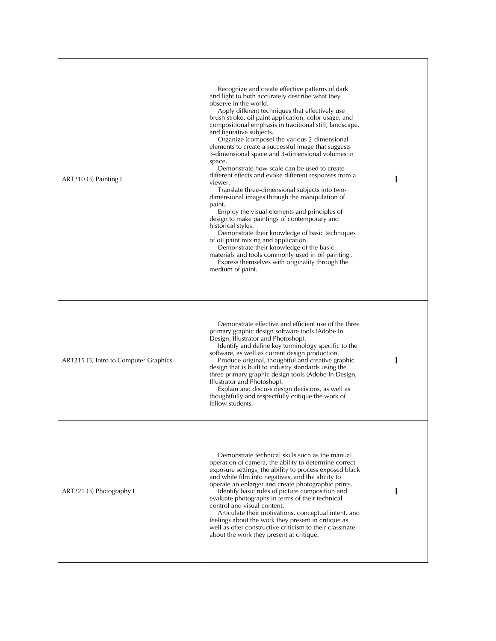| ART210 (3) Painting I                 | Recognize and create effective patterns of dark<br>and light to both accurately describe what they<br>observe in the world.<br>Apply different techniques that effectively use<br>brush stroke, oil paint application, color usage, and<br>compositional emphasis in traditional still, landscape,<br>and figurative subjects.<br>Organize (compose) the various 2-dimensional<br>elements to create a successful image that suggests<br>3-dimensional space and 3-dimensional volumes in<br>space.<br>Demonstrate how scale can be used to create<br>different effects and evoke different responses from a<br>viewer.<br>Translate three-dimensional subjects into two-<br>dimensional images through the manipulation of<br>paint.<br>Employ the visual elements and principles of<br>design to make paintings of contemporary and<br>historical styles.<br>Demonstrate their knowledge of basic techniques<br>of oil paint mixing and application.<br>Demonstrate their knowledge of the basic<br>materials and tools commonly used in oil painting.<br>Express themselves with originality through the<br>medium of paint. |  |
|---------------------------------------|---------------------------------------------------------------------------------------------------------------------------------------------------------------------------------------------------------------------------------------------------------------------------------------------------------------------------------------------------------------------------------------------------------------------------------------------------------------------------------------------------------------------------------------------------------------------------------------------------------------------------------------------------------------------------------------------------------------------------------------------------------------------------------------------------------------------------------------------------------------------------------------------------------------------------------------------------------------------------------------------------------------------------------------------------------------------------------------------------------------------------------|--|
| ART215 (3) Intro to Computer Graphics | Demonstrate effective and efficient use of the three<br>primary graphic design software tools (Adobe In<br>Design, Illustrator and Photoshop).<br>Identify and define key terminology specific to the<br>software, as well as current design production.<br>Produce original, thoughtful and creative graphic<br>design that is built to industry standards using the<br>three primary graphic design tools (Adobe In Design,<br>Illustrator and Photoshop).<br>Explain and discuss design decisions, as well as<br>thoughtfully and respectfully critique the work of<br>fellow students.                                                                                                                                                                                                                                                                                                                                                                                                                                                                                                                                      |  |
| ART221 (3) Photography I              | Demonstrate technical skills such as the manual<br>operation of camera, the ability to determine correct<br>exposure settings, the ability to process exposed black<br>and white film into negatives, and the ability to<br>operate an enlarger and create photographic prints.<br>Identify basic rules of picture composition and<br>evaluate photographs in terms of their technical<br>control and visual content.<br>Articulate their motivations, conceptual intent, and<br>feelings about the work they present in critique as<br>well as offer constructive criticism to their classmate<br>about the work they present at critique.                                                                                                                                                                                                                                                                                                                                                                                                                                                                                     |  |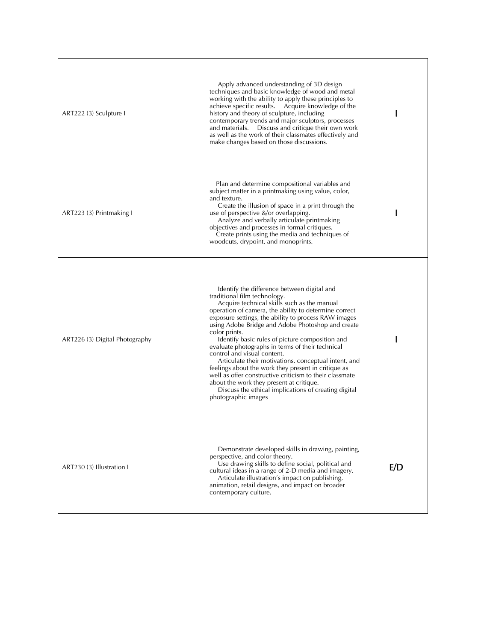| ART222 (3) Sculpture I         | Apply advanced understanding of 3D design<br>techniques and basic knowledge of wood and metal<br>working with the ability to apply these principles to<br>achieve specific results.<br>Acquire knowledge of the<br>history and theory of sculpture, including<br>contemporary trends and major sculptors, processes<br>and materials.  Discuss and critique their own work<br>as well as the work of their classmates effectively and<br>make changes based on those discussions.                                                                                                                                                                                                                                                                            |     |
|--------------------------------|--------------------------------------------------------------------------------------------------------------------------------------------------------------------------------------------------------------------------------------------------------------------------------------------------------------------------------------------------------------------------------------------------------------------------------------------------------------------------------------------------------------------------------------------------------------------------------------------------------------------------------------------------------------------------------------------------------------------------------------------------------------|-----|
| ART223 (3) Printmaking I       | Plan and determine compositional variables and<br>subject matter in a printmaking using value, color,<br>and texture.<br>Create the illusion of space in a print through the<br>use of perspective &/or overlapping.<br>Analyze and verbally articulate printmaking<br>objectives and processes in formal critiques.<br>Create prints using the media and techniques of<br>woodcuts, drypoint, and monoprints.                                                                                                                                                                                                                                                                                                                                               |     |
| ART226 (3) Digital Photography | Identify the difference between digital and<br>traditional film technology.<br>Acquire technical skills such as the manual<br>operation of camera, the ability to determine correct<br>exposure settings, the ability to process RAW images<br>using Adobe Bridge and Adobe Photoshop and create<br>color prints.<br>Identify basic rules of picture composition and<br>evaluate photographs in terms of their technical<br>control and visual content.<br>Articulate their motivations, conceptual intent, and<br>feelings about the work they present in critique as<br>well as offer constructive criticism to their classmate<br>about the work they present at critique.<br>Discuss the ethical implications of creating digital<br>photographic images |     |
| ART230 (3) Illustration I      | Demonstrate developed skills in drawing, painting,<br>perspective, and color theory.<br>Use drawing skills to define social, political and<br>cultural ideas in a range of 2-D media and imagery.<br>Articulate illustration's impact on publishing,<br>animation, retail designs, and impact on broader<br>contemporary culture.                                                                                                                                                                                                                                                                                                                                                                                                                            | E/D |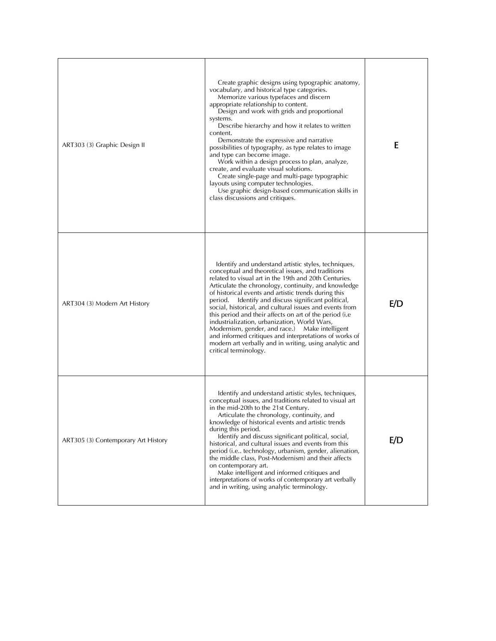| ART303 (3) Graphic Design II        | Create graphic designs using typographic anatomy,<br>vocabulary, and historical type categories.<br>Memorize various typefaces and discern<br>appropriate relationship to content.<br>Design and work with grids and proportional<br>systems.<br>Describe hierarchy and how it relates to written<br>content.<br>Demonstrate the expressive and narrative<br>possibilities of typography, as type relates to image<br>and type can become image.<br>Work within a design process to plan, analyze,<br>create, and evaluate visual solutions.<br>Create single-page and multi-page typographic<br>layouts using computer technologies.<br>Use graphic design-based communication skills in<br>class discussions and critiques. | E   |
|-------------------------------------|-------------------------------------------------------------------------------------------------------------------------------------------------------------------------------------------------------------------------------------------------------------------------------------------------------------------------------------------------------------------------------------------------------------------------------------------------------------------------------------------------------------------------------------------------------------------------------------------------------------------------------------------------------------------------------------------------------------------------------|-----|
| ART304 (3) Modern Art History       | Identify and understand artistic styles, techniques,<br>conceptual and theoretical issues, and traditions<br>related to visual art in the 19th and 20th Centuries.<br>Articulate the chronology, continuity, and knowledge<br>of historical events and artistic trends during this<br>Identify and discuss significant political,<br>period.<br>social, historical, and cultural issues and events from<br>this period and their affects on art of the period (i.e.<br>industrialization, urbanization, World Wars,<br>Modernism, gender, and race.) Make intelligent<br>and informed critiques and interpretations of works of<br>modern art verbally and in writing, using analytic and<br>critical terminology.            | E/D |
| ART305 (3) Contemporary Art History | Identify and understand artistic styles, techniques,<br>conceptual issues, and traditions related to visual art<br>in the mid-20th to the 21st Century.<br>Articulate the chronology, continuity, and<br>knowledge of historical events and artistic trends<br>during this period.<br>Identify and discuss significant political, social,<br>historical, and cultural issues and events from this<br>period (i.e technology, urbanism, gender, alienation,<br>the middle class, Post-Modernism) and their affects<br>on contemporary art.<br>Make intelligent and informed critiques and<br>interpretations of works of contemporary art verbally<br>and in writing, using analytic terminology.                              | E/D |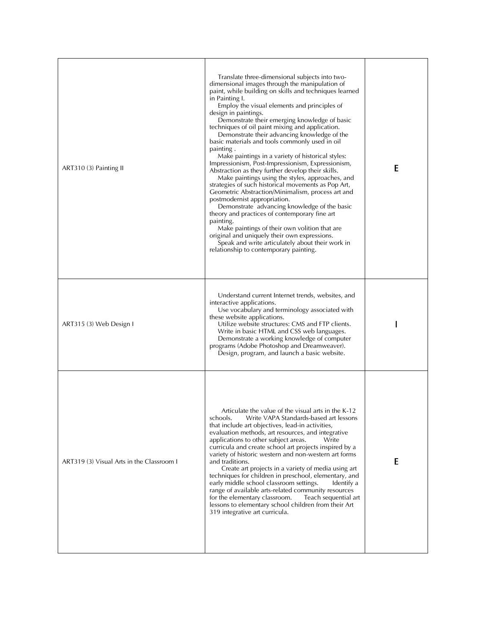| ART310 (3) Painting II                    | Translate three-dimensional subjects into two-<br>dimensional images through the manipulation of<br>paint, while building on skills and techniques learned<br>in Painting I.<br>Employ the visual elements and principles of<br>design in paintings.<br>Demonstrate their emerging knowledge of basic<br>techniques of oil paint mixing and application.<br>Demonstrate their advancing knowledge of the<br>basic materials and tools commonly used in oil<br>painting.<br>Make paintings in a variety of historical styles:<br>Impressionism, Post-Impressionism, Expressionism,<br>Abstraction as they further develop their skills.<br>Make paintings using the styles, approaches, and<br>strategies of such historical movements as Pop Art,<br>Geometric Abstraction/Minimalism, process art and<br>postmodernist appropriation.<br>Demonstrate advancing knowledge of the basic<br>theory and practices of contemporary fine art<br>painting.<br>Make paintings of their own volition that are.<br>original and uniquely their own expressions.<br>Speak and write articulately about their work in<br>relationship to contemporary painting. | Е |
|-------------------------------------------|------------------------------------------------------------------------------------------------------------------------------------------------------------------------------------------------------------------------------------------------------------------------------------------------------------------------------------------------------------------------------------------------------------------------------------------------------------------------------------------------------------------------------------------------------------------------------------------------------------------------------------------------------------------------------------------------------------------------------------------------------------------------------------------------------------------------------------------------------------------------------------------------------------------------------------------------------------------------------------------------------------------------------------------------------------------------------------------------------------------------------------------------------|---|
| ART315 (3) Web Design I                   | Understand current Internet trends, websites, and<br>interactive applications.<br>Use vocabulary and terminology associated with<br>these website applications.<br>Utilize website structures: CMS and FTP clients.<br>Write in basic HTML and CSS web languages.<br>Demonstrate a working knowledge of computer<br>programs (Adobe Photoshop and Dreamweaver).<br>Design, program, and launch a basic website.                                                                                                                                                                                                                                                                                                                                                                                                                                                                                                                                                                                                                                                                                                                                      |   |
| ART319 (3) Visual Arts in the Classroom I | Articulate the value of the visual arts in the K-12<br>schools.<br>Write VAPA Standards-based art lessons<br>that include art objectives, lead-in activities,<br>evaluation methods, art resources, and integrative<br>applications to other subject areas.<br>Write<br>curricula and create school art projects inspired by a<br>variety of historic western and non-western art forms<br>and traditions.<br>Create art projects in a variety of media using art<br>techniques for children in preschool, elementary, and<br>early middle school classroom settings.<br>Identify a<br>range of available arts-related community resources<br>Teach sequential art<br>for the elementary classroom.<br>lessons to elementary school children from their Art<br>319 integrative art curricula.                                                                                                                                                                                                                                                                                                                                                        | E |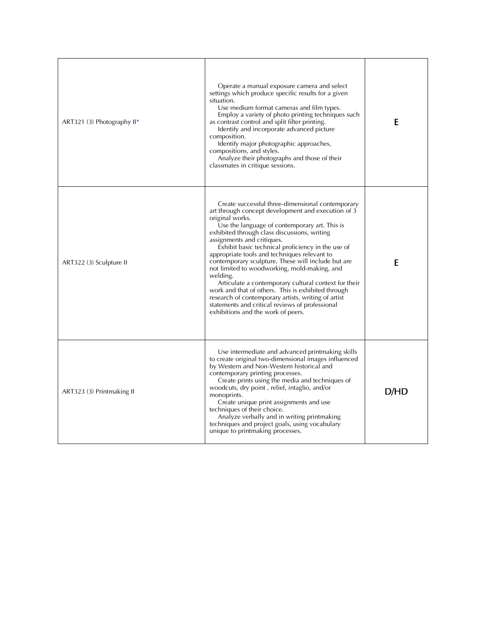| ART321 (3) Photography $II^*$ | Operate a manual exposure camera and select<br>settings which produce specific results for a given<br>situation.<br>Use medium format cameras and film types.<br>Employ a variety of photo printing techniques such<br>as contrast control and split filter printing.<br>Identify and incorporate advanced picture<br>composition.<br>Identify major photographic approaches,<br>compositions, and styles.<br>Analyze their photographs and those of their<br>classmates in critique sessions.                                                                                                                                                                                                                                                | E    |
|-------------------------------|-----------------------------------------------------------------------------------------------------------------------------------------------------------------------------------------------------------------------------------------------------------------------------------------------------------------------------------------------------------------------------------------------------------------------------------------------------------------------------------------------------------------------------------------------------------------------------------------------------------------------------------------------------------------------------------------------------------------------------------------------|------|
| ART322 (3) Sculpture II       | Create successful three-dimensional contemporary<br>art through concept development and execution of 3<br>original works.<br>Use the language of contemporary art. This is<br>exhibited through class discussions, writing<br>assignments and critiques.<br>Exhibit basic technical proficiency in the use of<br>appropriate tools and techniques relevant to<br>contemporary sculpture. These will include but are<br>not limited to woodworking, mold-making, and<br>welding.<br>Articulate a contemporary cultural context for their<br>work and that of others. This is exhibited through<br>research of contemporary artists, writing of artist<br>statements and critical reviews of professional<br>exhibitions and the work of peers. | E    |
| ART323 (3) Printmaking II     | Use intermediate and advanced printmaking skills<br>to create original two-dimensional images influenced<br>by Western and Non-Western historical and<br>contemporary printing processes.<br>Create prints using the media and techniques of<br>woodcuts, dry point, relief, intaglio, and/or<br>monoprints.<br>Create unique print assignments and use<br>techniques of their choice.<br>Analyze verbally and in writing printmaking<br>techniques and project goals, using vocabulary<br>unique to printmaking processes.                                                                                                                                                                                                                   | D/HD |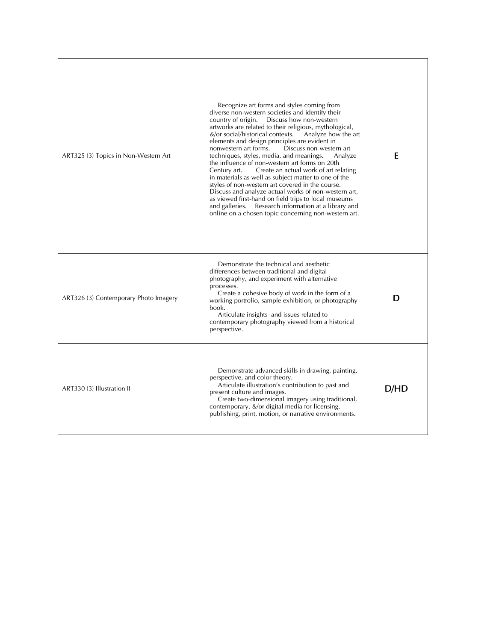| ART325 (3) Topics in Non-Western Art  | Recognize art forms and styles coming from<br>diverse non-western societies and identify their<br>Discuss how non-western<br>country of origin.<br>artworks are related to their religious, mythological,<br>&/or social/historical contexts.<br>Analyze how the art<br>elements and design principles are evident in<br>nonwestern art forms.<br>Discuss non-western art<br>techniques, styles, media, and meanings.<br>Analyze<br>the influence of non-western art forms on 20th<br>Create an actual work of art relating<br>Century art.<br>in materials as well as subject matter to one of the<br>styles of non-western art covered in the course.<br>Discuss and analyze actual works of non-western art,<br>as viewed first-hand on field trips to local museums<br>and galleries. Research information at a library and<br>online on a chosen topic concerning non-western art. | Ε    |
|---------------------------------------|-----------------------------------------------------------------------------------------------------------------------------------------------------------------------------------------------------------------------------------------------------------------------------------------------------------------------------------------------------------------------------------------------------------------------------------------------------------------------------------------------------------------------------------------------------------------------------------------------------------------------------------------------------------------------------------------------------------------------------------------------------------------------------------------------------------------------------------------------------------------------------------------|------|
| ART326 (3) Contemporary Photo Imagery | Demonstrate the technical and aesthetic<br>differences between traditional and digital<br>photography, and experiment with alternative<br>processes.<br>Create a cohesive body of work in the form of a<br>working portfolio, sample exhibition, or photography<br>book.<br>Articulate insights and issues related to<br>contemporary photography viewed from a historical<br>perspective.                                                                                                                                                                                                                                                                                                                                                                                                                                                                                              | D    |
| ART330 (3) Illustration II            | Demonstrate advanced skills in drawing, painting,<br>perspective, and color theory.<br>Articulate illustration's contribution to past and<br>present culture and images.<br>Create two-dimensional imagery using traditional,<br>contemporary, &/or digital media for licensing,<br>publishing, print, motion, or narrative environments.                                                                                                                                                                                                                                                                                                                                                                                                                                                                                                                                               | D/HD |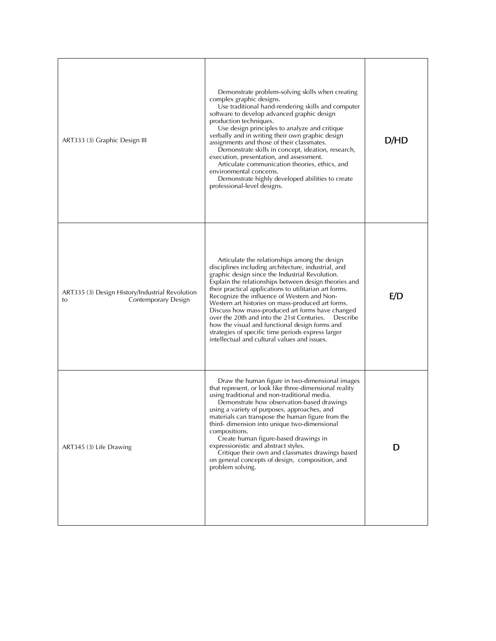| ART333 (3) Graphic Design III                                                | Demonstrate problem-solving skills when creating<br>complex graphic designs.<br>Use traditional hand-rendering skills and computer<br>software to develop advanced graphic design<br>production techniques.<br>Use design principles to analyze and critique<br>verbally and in writing their own graphic design<br>assignments and those of their classmates.<br>Demonstrate skills in concept, ideation, research,<br>execution, presentation, and assessment.<br>Articulate communication theories, ethics, and<br>environmental concerns.<br>Demonstrate highly developed abilities to create<br>professional-level designs.                     | D/HD |
|------------------------------------------------------------------------------|------------------------------------------------------------------------------------------------------------------------------------------------------------------------------------------------------------------------------------------------------------------------------------------------------------------------------------------------------------------------------------------------------------------------------------------------------------------------------------------------------------------------------------------------------------------------------------------------------------------------------------------------------|------|
| ART335 (3) Design History/Industrial Revolution<br>Contemporary Design<br>to | Articulate the relationships among the design<br>disciplines including architecture, industrial, and<br>graphic design since the Industrial Revolution.<br>Explain the relationships between design theories and<br>their practical applications to utilitarian art forms.<br>Recognize the influence of Western and Non-<br>Western art histories on mass-produced art forms.<br>Discuss how mass-produced art forms have changed<br>over the 20th and into the 21st Centuries.<br>Describe<br>how the visual and functional design forms and<br>strategies of specific time periods express larger<br>intellectual and cultural values and issues. | E/D  |
| ART345 (3) Life Drawing                                                      | Draw the human figure in two-dimensional images<br>that represent, or look like three-dimensional reality<br>using traditional and non-traditional media.<br>Demonstrate how observation-based drawings<br>using a variety of purposes, approaches, and<br>materials can transpose the human figure from the<br>third- dimension into unique two-dimensional<br>compositions.<br>Create human figure-based drawings in<br>expressionistic and abstract styles.<br>Critique their own and classmates drawings based<br>on general concepts of design, composition, and<br>problem solving.                                                            | D    |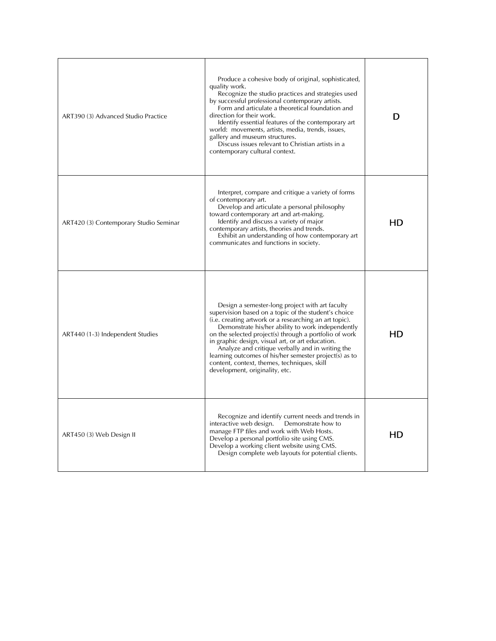| ART390 (3) Advanced Studio Practice    | Produce a cohesive body of original, sophisticated,<br>quality work.<br>Recognize the studio practices and strategies used<br>by successful professional contemporary artists.<br>Form and articulate a theoretical foundation and<br>direction for their work.<br>Identify essential features of the contemporary art<br>world: movements, artists, media, trends, issues,<br>gallery and museum structures.<br>Discuss issues relevant to Christian artists in a<br>contemporary cultural context.                                | D  |
|----------------------------------------|-------------------------------------------------------------------------------------------------------------------------------------------------------------------------------------------------------------------------------------------------------------------------------------------------------------------------------------------------------------------------------------------------------------------------------------------------------------------------------------------------------------------------------------|----|
| ART420 (3) Contemporary Studio Seminar | Interpret, compare and critique a variety of forms<br>of contemporary art.<br>Develop and articulate a personal philosophy<br>toward contemporary art and art-making.<br>Identify and discuss a variety of major<br>contemporary artists, theories and trends.<br>Exhibit an understanding of how contemporary art<br>communicates and functions in society.                                                                                                                                                                        | HD |
| ART440 (1-3) Independent Studies       | Design a semester-long project with art faculty<br>supervision based on a topic of the student's choice<br>(i.e. creating artwork or a researching an art topic).<br>Demonstrate his/her ability to work independently<br>on the selected project(s) through a portfolio of work<br>in graphic design, visual art, or art education.<br>Analyze and critique verbally and in writing the<br>learning outcomes of his/her semester project(s) as to<br>content, context, themes, techniques, skill<br>development, originality, etc. | НD |
| ART450 (3) Web Design II               | Recognize and identify current needs and trends in<br>interactive web design.<br>Demonstrate how to<br>manage FTP files and work with Web Hosts.<br>Develop a personal portfolio site using CMS.<br>Develop a working client website using CMS.<br>Design complete web layouts for potential clients.                                                                                                                                                                                                                               | HD |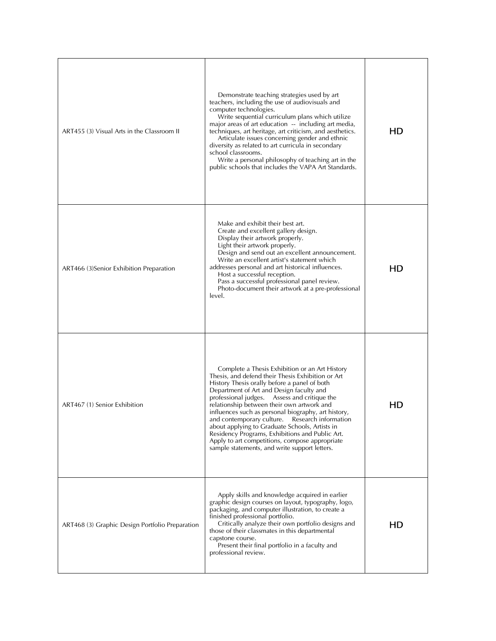| ART455 (3) Visual Arts in the Classroom II      | Demonstrate teaching strategies used by art<br>teachers, including the use of audiovisuals and<br>computer technologies.<br>Write sequential curriculum plans which utilize<br>major areas of art education -- including art media,<br>techniques, art heritage, art criticism, and aesthetics.<br>Articulate issues concerning gender and ethnic<br>diversity as related to art curricula in secondary<br>school classrooms.<br>Write a personal philosophy of teaching art in the<br>public schools that includes the VAPA Art Standards.                                                                       | HD |
|-------------------------------------------------|-------------------------------------------------------------------------------------------------------------------------------------------------------------------------------------------------------------------------------------------------------------------------------------------------------------------------------------------------------------------------------------------------------------------------------------------------------------------------------------------------------------------------------------------------------------------------------------------------------------------|----|
| ART466 (3) Senior Exhibition Preparation        | Make and exhibit their best art.<br>Create and excellent gallery design.<br>Display their artwork properly.<br>Light their artwork properly.<br>Design and send out an excellent announcement.<br>Write an excellent artist's statement which<br>addresses personal and art historical influences.<br>Host a successful reception.<br>Pass a successful professional panel review.<br>Photo-document their artwork at a pre-professional<br>level.                                                                                                                                                                | HD |
| ART467 (1) Senior Exhibition                    | Complete a Thesis Exhibition or an Art History<br>Thesis, and defend their Thesis Exhibition or Art<br>History Thesis orally before a panel of both<br>Department of Art and Design faculty and<br>Assess and critique the<br>professional judges.<br>relationship between their own artwork and<br>influences such as personal biography, art history,<br>and contemporary culture. Research information<br>about applying to Graduate Schools, Artists in<br>Residency Programs, Exhibitions and Public Art.<br>Apply to art competitions, compose appropriate<br>sample statements, and write support letters. | HD |
| ART468 (3) Graphic Design Portfolio Preparation | Apply skills and knowledge acquired in earlier<br>graphic design courses on layout, typography, logo,<br>packaging, and computer illustration, to create a<br>finished professional portfolio.<br>Critically analyze their own portfolio designs and<br>those of their classmates in this departmental<br>capstone course.<br>Present their final portfolio in a faculty and<br>professional review.                                                                                                                                                                                                              | HD |